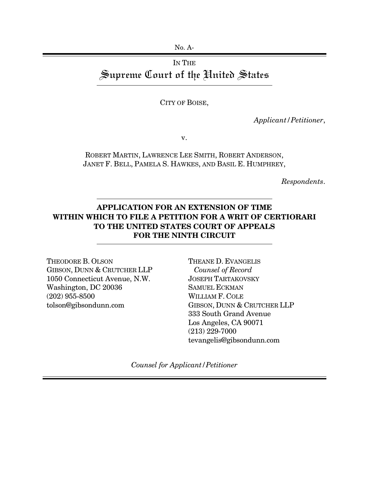## IN THE Supreme Court of the United States

CITY OF BOISE,

*Applicant/Petitioner*,

v.

ROBERT MARTIN, LAWRENCE LEE SMITH, ROBERT ANDERSON, JANET F. BELL, PAMELA S. HAWKES, AND BASIL E. HUMPHREY,

*Respondents*.

## **APPLICATION FOR AN EXTENSION OF TIME WITHIN WHICH TO FILE A PETITION FOR A WRIT OF CERTIORARI TO THE UNITED STATES COURT OF APPEALS FOR THE NINTH CIRCUIT**

THEODORE B. OLSON GIBSON, DUNN & CRUTCHER LLP 1050 Connecticut Avenue, N.W. Washington, DC 20036 (202) 955-8500 tolson@gibsondunn.com

THEANE D. EVANGELIS *Counsel of Record* JOSEPH TARTAKOVSKY SAMUEL ECKMAN WILLIAM F. COLE GIBSON, DUNN & CRUTCHER LLP 333 South Grand Avenue Los Angeles, CA 90071 (213) 229-7000 tevangelis@gibsondunn.com

*Counsel for Applicant/Petitioner*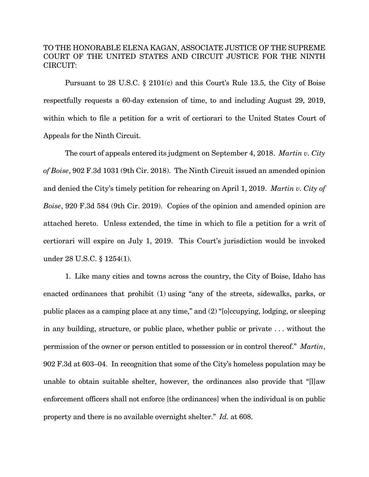## TO THE HONORABLE ELENA KAGAN, ASSOCIATE JUSTICE OF THE SUPREME COURT OF THE UNITED STATES AND CIRCUIT JUSTICE FOR THE NINTH CIRCUIT:

Pursuant to 28 U.S.C. § 2101(c) and this Court's Rule 13.5, the City of Boise respectfully requests a 60-day extension of time, to and including August 29, 2019, within which to file a petition for a writ of certiorari to the United States Court of Appeals for the Ninth Circuit.

The court of appeals entered its judgment on September 4, 2018. *Martin v. City of Boise*, 902 F.3d 1031 (9th Cir. 2018). The Ninth Circuit issued an amended opinion and denied the City's timely petition for rehearing on April 1, 2019. *Martin v. City of Boise*, 920 F.3d 584 (9th Cir. 2019). Copies of the opinion and amended opinion are attached hereto. Unless extended, the time in which to file a petition for a writ of certiorari will expire on July 1, 2019. This Court's jurisdiction would be invoked under 28 U.S.C. § 1254(1).

1. Like many cities and towns across the country, the City of Boise, Idaho has enacted ordinances that prohibit (1) using "any of the streets, sidewalks, parks, or public places as a camping place at any time," and (2) "[o]ccupying, lodging, or sleeping in any building, structure, or public place, whether public or private . . . without the permission of the owner or person entitled to possession or in control thereof." *Martin*, 902 F.3d at 603–04. In recognition that some of the City's homeless population may be unable to obtain suitable shelter, however, the ordinances also provide that "[l]aw enforcement officers shall not enforce [the ordinances] when the individual is on public property and there is no available overnight shelter." *Id.* at 608.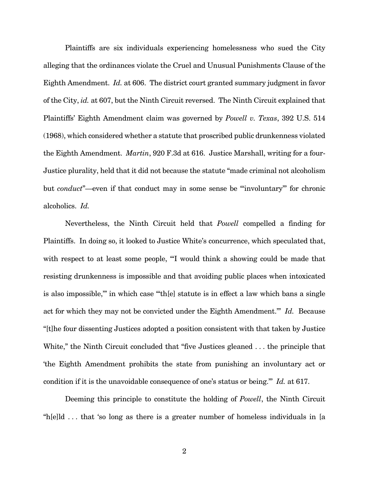Plaintiffs are six individuals experiencing homelessness who sued the City alleging that the ordinances violate the Cruel and Unusual Punishments Clause of the Eighth Amendment. *Id.* at 606. The district court granted summary judgment in favor of the City, *id.* at 607, but the Ninth Circuit reversed. The Ninth Circuit explained that Plaintiffs' Eighth Amendment claim was governed by *Powell v. Texas*, 392 U.S. 514 (1968), which considered whether a statute that proscribed public drunkenness violated the Eighth Amendment. *Martin*, 920 F.3d at 616. Justice Marshall, writing for a four-Justice plurality, held that it did not because the statute "made criminal not alcoholism but *conduct*"—even if that conduct may in some sense be "'involuntary'" for chronic alcoholics. *Id.* 

Nevertheless, the Ninth Circuit held that *Powell* compelled a finding for Plaintiffs. In doing so, it looked to Justice White's concurrence, which speculated that, with respect to at least some people, "I would think a showing could be made that resisting drunkenness is impossible and that avoiding public places when intoxicated is also impossible,'" in which case "'th[e] statute is in effect a law which bans a single act for which they may not be convicted under the Eighth Amendment.'" *Id.* Because "[t]he four dissenting Justices adopted a position consistent with that taken by Justice White," the Ninth Circuit concluded that "five Justices gleaned ... the principle that 'the Eighth Amendment prohibits the state from punishing an involuntary act or condition if it is the unavoidable consequence of one's status or being.'" *Id.* at 617.

Deeming this principle to constitute the holding of *Powell*, the Ninth Circuit "h[e]ld . . . that 'so long as there is a greater number of homeless individuals in [a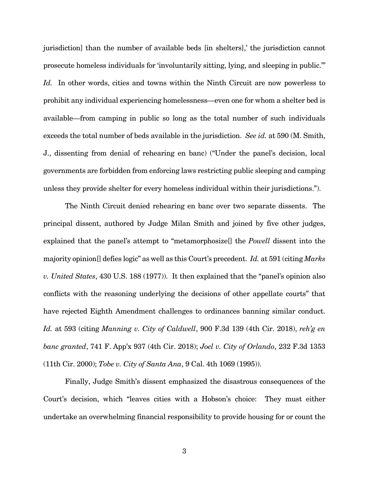jurisdiction] than the number of available beds [in shelters],' the jurisdiction cannot prosecute homeless individuals for 'involuntarily sitting, lying, and sleeping in public.'" *Id.* In other words, cities and towns within the Ninth Circuit are now powerless to prohibit any individual experiencing homelessness—even one for whom a shelter bed is available—from camping in public so long as the total number of such individuals exceeds the total number of beds available in the jurisdiction. *See id.* at 590 (M. Smith, J., dissenting from denial of rehearing en banc) ("Under the panel's decision, local governments are forbidden from enforcing laws restricting public sleeping and camping unless they provide shelter for every homeless individual within their jurisdictions.").

The Ninth Circuit denied rehearing en banc over two separate dissents. The principal dissent, authored by Judge Milan Smith and joined by five other judges, explained that the panel's attempt to "metamorphosize[] the *Powell* dissent into the majority opinion[] defies logic" as well as this Court's precedent. *Id.* at 591 (citing *Marks v. United States*, 430 U.S. 188 (1977)). It then explained that the "panel's opinion also conflicts with the reasoning underlying the decisions of other appellate courts" that have rejected Eighth Amendment challenges to ordinances banning similar conduct. *Id.* at 593 (citing *Manning v. City of Caldwell*, 900 F.3d 139 (4th Cir. 2018), *reh'g en banc granted*, 741 F. App'x 937 (4th Cir. 2018); *Joel v. City of Orlando*, 232 F.3d 1353 (11th Cir. 2000); *Tobe v. City of Santa Ana*, 9 Cal. 4th 1069 (1995)).

Finally, Judge Smith's dissent emphasized the disastrous consequences of the Court's decision, which "leaves cities with a Hobson's choice: They must either undertake an overwhelming financial responsibility to provide housing for or count the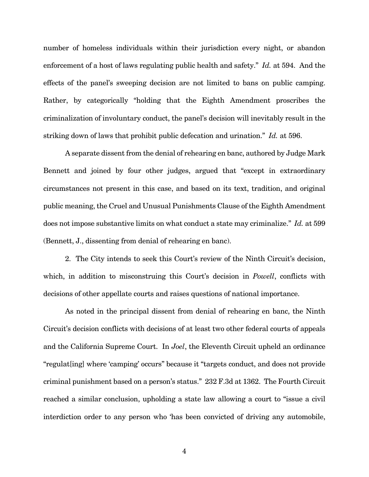number of homeless individuals within their jurisdiction every night, or abandon enforcement of a host of laws regulating public health and safety." *Id.* at 594. And the effects of the panel's sweeping decision are not limited to bans on public camping. Rather, by categorically "holding that the Eighth Amendment proscribes the criminalization of involuntary conduct, the panel's decision will inevitably result in the striking down of laws that prohibit public defecation and urination." *Id.* at 596.

A separate dissent from the denial of rehearing en banc, authored by Judge Mark Bennett and joined by four other judges, argued that "except in extraordinary circumstances not present in this case, and based on its text, tradition, and original public meaning, the Cruel and Unusual Punishments Clause of the Eighth Amendment does not impose substantive limits on what conduct a state may criminalize." *Id.* at 599 (Bennett, J., dissenting from denial of rehearing en banc).

2. The City intends to seek this Court's review of the Ninth Circuit's decision, which, in addition to misconstruing this Court's decision in *Powell*, conflicts with decisions of other appellate courts and raises questions of national importance.

As noted in the principal dissent from denial of rehearing en banc, the Ninth Circuit's decision conflicts with decisions of at least two other federal courts of appeals and the California Supreme Court. In *Joel*, the Eleventh Circuit upheld an ordinance "regulat[ing] where 'camping' occurs" because it "targets conduct, and does not provide criminal punishment based on a person's status." 232 F.3d at 1362. The Fourth Circuit reached a similar conclusion, upholding a state law allowing a court to "issue a civil interdiction order to any person who 'has been convicted of driving any automobile,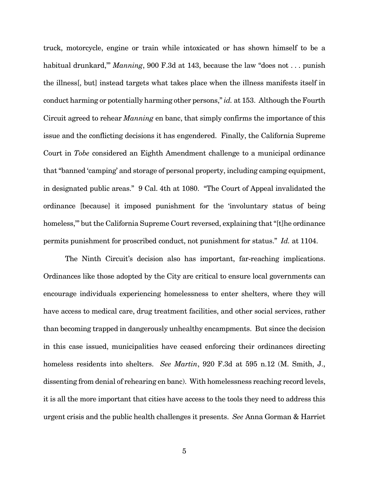truck, motorcycle, engine or train while intoxicated or has shown himself to be a habitual drunkard,'" *Manning*, 900 F.3d at 143, because the law "does not . . . punish the illness[, but] instead targets what takes place when the illness manifests itself in conduct harming or potentially harming other persons," *id.* at 153. Although the Fourth Circuit agreed to rehear *Manning* en banc, that simply confirms the importance of this issue and the conflicting decisions it has engendered. Finally, the California Supreme Court in *Tobe* considered an Eighth Amendment challenge to a municipal ordinance that "banned 'camping' and storage of personal property, including camping equipment, in designated public areas." 9 Cal. 4th at 1080. "The Court of Appeal invalidated the ordinance [because] it imposed punishment for the 'involuntary status of being homeless,'" but the California Supreme Court reversed, explaining that "[t]he ordinance permits punishment for proscribed conduct, not punishment for status." *Id.* at 1104.

The Ninth Circuit's decision also has important, far-reaching implications. Ordinances like those adopted by the City are critical to ensure local governments can encourage individuals experiencing homelessness to enter shelters, where they will have access to medical care, drug treatment facilities, and other social services, rather than becoming trapped in dangerously unhealthy encampments. But since the decision in this case issued, municipalities have ceased enforcing their ordinances directing homeless residents into shelters. *See Martin*, 920 F.3d at 595 n.12 (M. Smith, J., dissenting from denial of rehearing en banc). With homelessness reaching record levels, it is all the more important that cities have access to the tools they need to address this urgent crisis and the public health challenges it presents. *See* Anna Gorman & Harriet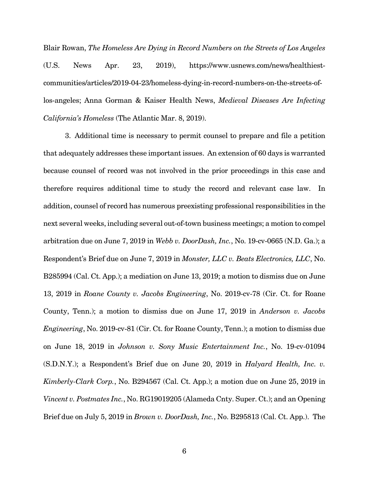Blair Rowan, *The Homeless Are Dying in Record Numbers on the Streets of Los Angeles*  (U.S. News Apr. 23, 2019), https://www.usnews.com/news/healthiestcommunities/articles/2019-04-23/homeless-dying-in-record-numbers-on-the-streets-oflos-angeles; Anna Gorman & Kaiser Health News, *Medieval Diseases Are Infecting California's Homeless* (The Atlantic Mar. 8, 2019).

3. Additional time is necessary to permit counsel to prepare and file a petition that adequately addresses these important issues. An extension of 60 days is warranted because counsel of record was not involved in the prior proceedings in this case and therefore requires additional time to study the record and relevant case law. In addition, counsel of record has numerous preexisting professional responsibilities in the next several weeks, including several out-of-town business meetings; a motion to compel arbitration due on June 7, 2019 in *Webb v. DoorDash, Inc.*, No. 19-cv-0665 (N.D. Ga.); a Respondent's Brief due on June 7, 2019 in *Monster, LLC v. Beats Electronics, LLC*, No. B285994 (Cal. Ct. App.); a mediation on June 13, 2019; a motion to dismiss due on June 13, 2019 in *Roane County v. Jacobs Engineering*, No. 2019-cv-78 (Cir. Ct. for Roane County, Tenn.); a motion to dismiss due on June 17, 2019 in *Anderson v. Jacobs Engineering*, No. 2019-cv-81 (Cir. Ct. for Roane County, Tenn.); a motion to dismiss due on June 18, 2019 in *Johnson v. Sony Music Entertainment Inc.*, No. 19-cv-01094 (S.D.N.Y.); a Respondent's Brief due on June 20, 2019 in *Halyard Health, Inc. v. Kimberly-Clark Corp.*, No. B294567 (Cal. Ct. App.); a motion due on June 25, 2019 in *Vincent v. Postmates Inc.*, No. RG19019205 (Alameda Cnty. Super. Ct.); and an Opening Brief due on July 5, 2019 in *Brown v. DoorDash, Inc.*, No. B295813 (Cal. Ct. App.). The